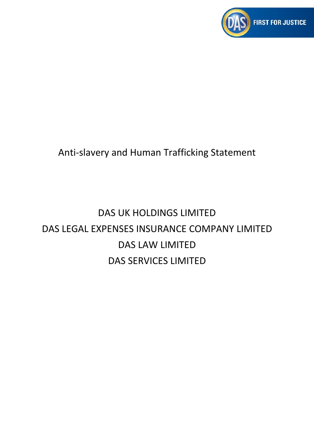

# Anti-slavery and Human Trafficking Statement

# DAS UK HOLDINGS LIMITED DAS LEGAL EXPENSES INSURANCE COMPANY LIMITED DAS LAW LIMITED DAS SERVICES LIMITED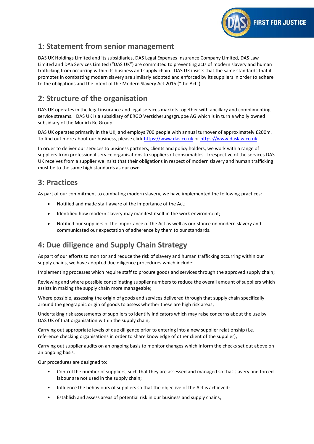

# **1: Statement from senior management**

DAS UK Holdings Limited and its subsidiaries, DAS Legal Expenses Insurance Company Limited, DAS Law Limited and DAS Services Limited ("DAS UK") are committed to preventing acts of modern slavery and human trafficking from occurring within its business and supply chain. DAS UK insists that the same standards that it promotes in combatting modern slavery are similarly adopted and enforced by its suppliers in order to adhere to the obligations and the intent of the Modern Slavery Act 2015 ("the Act").

# **2: Structure of the organisation**

DAS UK operates in the legal insurance and legal services markets together with ancillary and complimenting service streams. DAS UK is a subsidiary of ERGO Versicherungsgruppe AG which is in turn a wholly owned subsidiary of the Munich Re Group.

DAS UK operates primarily in the UK, and employs 700 people with annual turnover of approximately £200m. To find out more about our business, please click [https://www.das.co.uk](https://www.das.co.uk/) or [https://www.daslaw.co.uk.](https://www.daslaw.co.uk/)

In order to deliver our services to business partners, clients and policy holders, we work with a range of suppliers from professional service organisations to suppliers of consumables. Irrespective of the services DAS UK receives from a supplier we insist that their obligations in respect of modern slavery and human trafficking must be to the same high standards as our own.

#### **3: Practices**

As part of our commitment to combating modern slavery, we have implemented the following practices:

- Notified and made staff aware of the importance of the Act;
- Identified how modern slavery may manifest itself in the work environment;
- Notified our suppliers of the importance of the Act as well as our stance on modern slavery and communicated our expectation of adherence by them to our standards.

# **4: Due diligence and Supply Chain Strategy**

As part of our efforts to monitor and reduce the risk of slavery and human trafficking occurring within our supply chains, we have adopted due diligence procedures which include:

Implementing processes which require staff to procure goods and services through the approved supply chain;

Reviewing and where possible consolidating supplier numbers to reduce the overall amount of suppliers which assists in making the supply chain more manageable;

Where possible, assessing the origin of goods and services delivered through that supply chain specifically around the geographic origin of goods to assess whether these are high risk areas;

Undertaking risk assessments of suppliers to identify indicators which may raise concerns about the use by DAS UK of that organisation within the supply chain;

Carrying out appropriate levels of due diligence prior to entering into a new supplier relationship (i.e. reference checking organisations in order to share knowledge of other client of the supplier);

Carrying out supplier audits on an ongoing basis to monitor changes which inform the checks set out above on an ongoing basis.

Our procedures are designed to:

- Control the number of suppliers, such that they are assessed and managed so that slavery and forced labour are not used in the supply chain;
- Influence the behaviours of suppliers so that the objective of the Act is achieved;
- Establish and assess areas of potential risk in our business and supply chains;